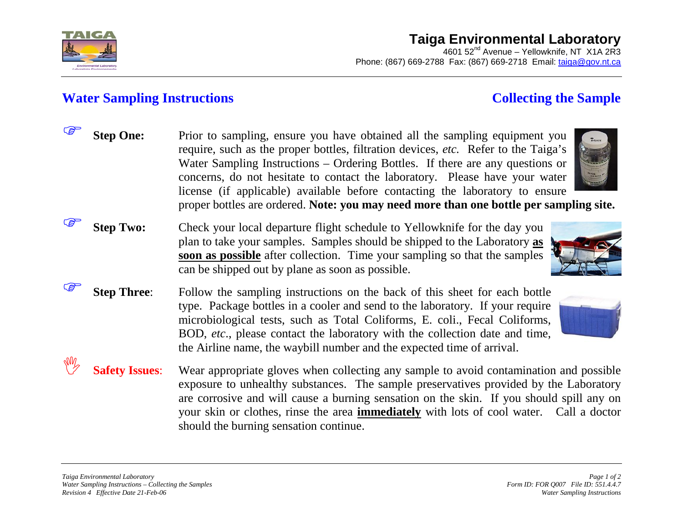

## **Taiga Environmental Laboratory**

4601 52<sup>nd</sup> Avenue – Yellowknife, NT X1A 2R3 Phone: (867) 669-2788 Fax: (867) 669-2718 Email: [taiga@gov.nt.ca](mailto:taiga@gov.nt.ca)

## **Water Sampling Instructions Collecting the Sample**

| <b>PENT</b> | <b>Step One:</b>      | Prior to sampling, ensure you have obtained all the sampling equipment you<br>require, such as the proper bottles, filtration devices, <i>etc.</i> Refer to the Taiga's<br>Water Sampling Instructions – Ordering Bottles. If there are any questions or<br>concerns, do not hesitate to contact the laboratory. Please have your water                                                                                 |
|-------------|-----------------------|-------------------------------------------------------------------------------------------------------------------------------------------------------------------------------------------------------------------------------------------------------------------------------------------------------------------------------------------------------------------------------------------------------------------------|
|             |                       | license (if applicable) available before contacting the laboratory to ensure<br>proper bottles are ordered. Note: you may need more than one bottle per sampling site.                                                                                                                                                                                                                                                  |
|             | <b>Step Two:</b>      | Check your local departure flight schedule to Yellowknife for the day you<br>plan to take your samples. Samples should be shipped to the Laboratory as<br>soon as possible after collection. Time your sampling so that the samples<br>can be shipped out by plane as soon as possible.                                                                                                                                 |
|             | <b>Step Three:</b>    | Follow the sampling instructions on the back of this sheet for each bottle<br>type. Package bottles in a cooler and send to the laboratory. If your require<br>microbiological tests, such as Total Coliforms, E. coli., Fecal Coliforms,<br>BOD, etc., please contact the laboratory with the collection date and time,<br>the Airline name, the way bill number and the expected time of arrival.                     |
|             | <b>Safety Issues:</b> | Wear appropriate gloves when collecting any sample to avoid contamination and possible<br>exposure to unhealthy substances. The sample preservatives provided by the Laboratory<br>are corrosive and will cause a burning sensation on the skin. If you should spill any on<br>your skin or clothes, rinse the area <b>immediately</b> with lots of cool water. Call a doctor<br>should the burning sensation continue. |